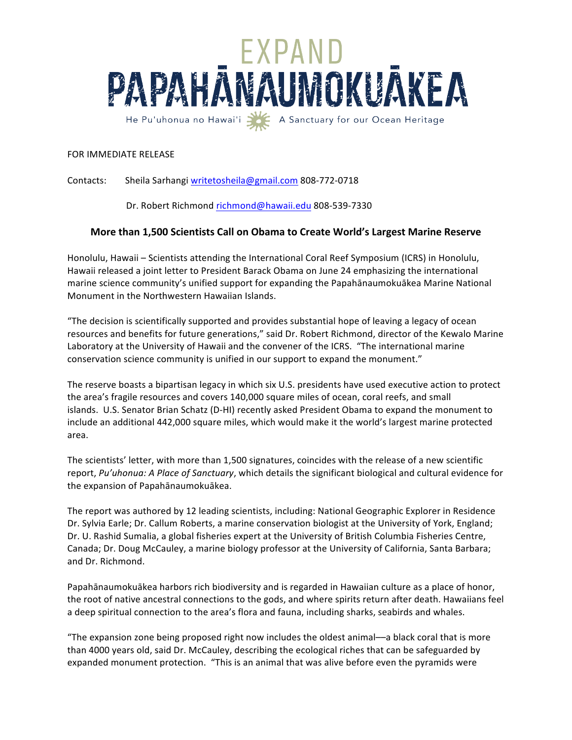

## FOR IMMEDIATE RELEASE

Contacts: Sheila Sarhangi writetosheila@gmail.com 808-772-0718

Dr. Robert Richmond richmond@hawaii.edu 808-539-7330

## **More than 1,500 Scientists Call on Obama to Create World's Largest Marine Reserve**

Honolulu, Hawaii – Scientists attending the International Coral Reef Symposium (ICRS) in Honolulu, Hawaii released a joint letter to President Barack Obama on June 24 emphasizing the international marine science community's unified support for expanding the Papahānaumokuākea Marine National Monument in the Northwestern Hawaiian Islands.

"The decision is scientifically supported and provides substantial hope of leaving a legacy of ocean resources and benefits for future generations," said Dr. Robert Richmond, director of the Kewalo Marine Laboratory at the University of Hawaii and the convener of the ICRS. "The international marine conservation science community is unified in our support to expand the monument."

The reserve boasts a bipartisan legacy in which six U.S. presidents have used executive action to protect the area's fragile resources and covers 140,000 square miles of ocean, coral reefs, and small islands. U.S. Senator Brian Schatz (D-HI) recently asked President Obama to expand the monument to include an additional 442,000 square miles, which would make it the world's largest marine protected area.

The scientists' letter, with more than 1,500 signatures, coincides with the release of a new scientific report, Pu'uhonua: A Place of Sanctuary, which details the significant biological and cultural evidence for the expansion of Papahānaumokuākea.

The report was authored by 12 leading scientists, including: National Geographic Explorer in Residence Dr. Sylvia Earle; Dr. Callum Roberts, a marine conservation biologist at the University of York, England; Dr. U. Rashid Sumalia, a global fisheries expert at the University of British Columbia Fisheries Centre, Canada; Dr. Doug McCauley, a marine biology professor at the University of California, Santa Barbara; and Dr. Richmond.

Papahānaumokuākea harbors rich biodiversity and is regarded in Hawaiian culture as a place of honor, the root of native ancestral connections to the gods, and where spirits return after death. Hawaiians feel a deep spiritual connection to the area's flora and fauna, including sharks, seabirds and whales.

"The expansion zone being proposed right now includes the oldest animal—a black coral that is more than 4000 years old, said Dr. McCauley, describing the ecological riches that can be safeguarded by expanded monument protection. "This is an animal that was alive before even the pyramids were